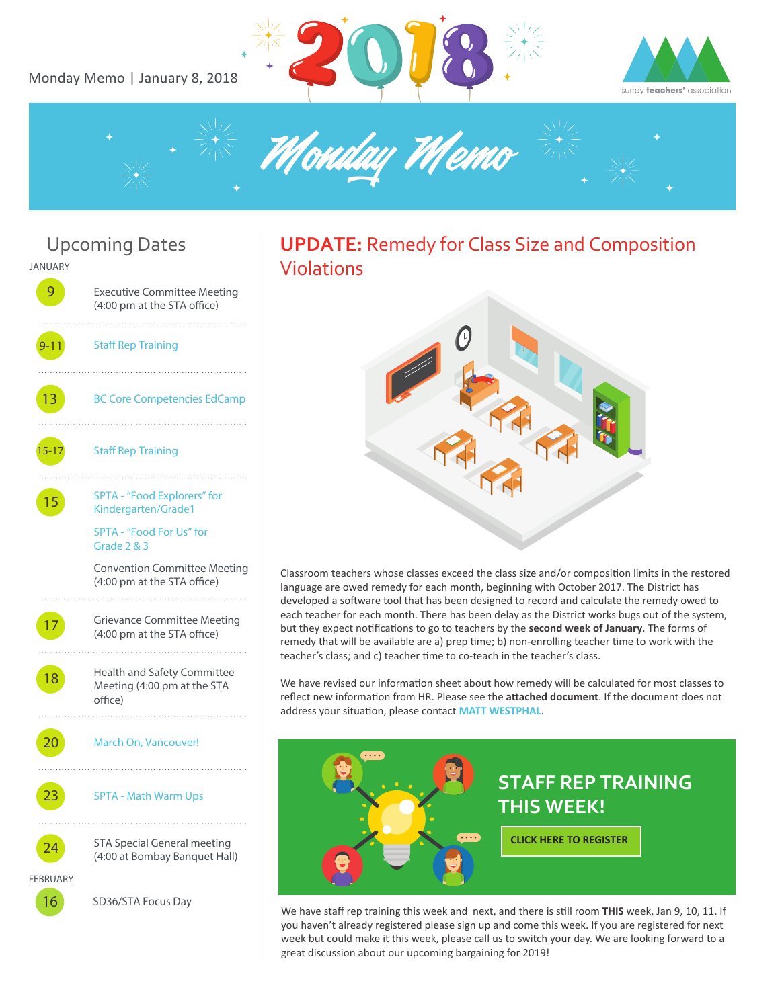Monday Memo | January 8, 2018









### **UPDATE:** Remedy for Class Size and Composition Violations



Classroom teachers whose classes exceed the class size and/or composition limits in the restored language are owed remedy for each month, beginning with October 2017. The District has developed a software tool that has been designed to record and calculate the remedy owed to each teacher for each month. There has been delay as the District works bugs out of the system, but they expect notifications to go to teachers by the **second week of January**. The forms of remedy that will be available are a) prep time; b) non-enrolling teacher time to work with the teacher's class; and c) teacher time to co-teach in the teacher's class.

We have revised our information sheet about how remedy will be calculated for most classes to reflect new information from HR. Please see the **attached document**. If the document does not address your situation, please contact [MATT WESTPHAL](mailto:1-vp@surreyteachers.org).



We have staff rep training this week and next, and there is still room THIS week, Jan 9, 10, 11. If you haven't already registered please sign up and come this week. If you are registered for next week but could make it this week, please call us to switch your day. We are looking forward to a great discussion about our upcoming bargaining for 2019!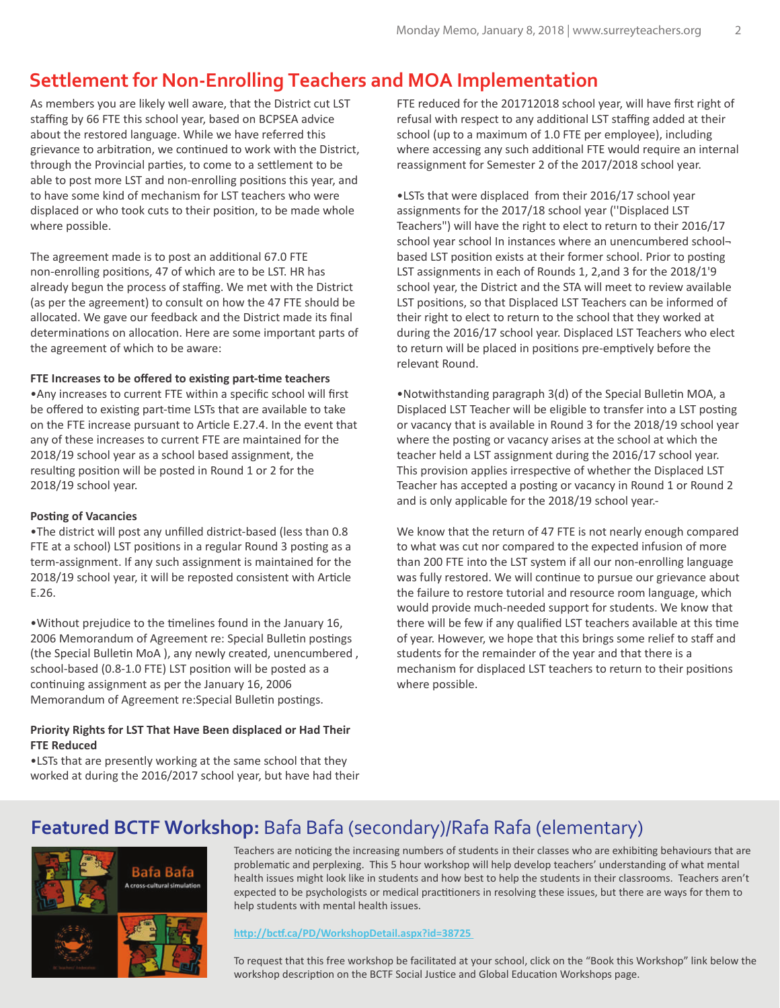## **Settlement for Non-Enrolling Teachers and MOA Implementation**

As members you are likely well aware, that the District cut LST staffing by 66 FTE this school year, based on BCPSEA advice about the restored language. While we have referred this grievance to arbitration, we continued to work with the District, through the Provincial parties, to come to a settlement to be able to post more LST and non-enrolling positions this year, and to have some kind of mechanism for LST teachers who were displaced or who took cuts to their position, to be made whole where possible.

The agreement made is to post an additional 67.0 FTE non-enrolling positions, 47 of which are to be LST. HR has already begun the process of staffing. We met with the District (as per the agreement) to consult on how the 47 FTE should be allocated. We gave our feedback and the District made its final determinations on allocation. Here are some important parts of the agreement of which to be aware:

### FTE Increases to be offered to existing part-time teachers

•Any increases to current FTE within a specific school will first be offered to existing part-time LSTs that are available to take on the FTE increase pursuant to Article E.27.4. In the event that any of these increases to current FTE are maintained for the 2018/19 school year as a school based assignment, the resulting position will be posted in Round 1 or 2 for the 2018/19 school year.

### **Posting of Vacancies**

•The district will post any unfilled district-based (less than 0.8 FTE at a school) LST positions in a regular Round 3 posting as a term-assignment. If any such assignment is maintained for the 2018/19 school year, it will be reposted consistent with Article E.26.

•Without prejudice to the �melines found in the January 16, 2006 Memorandum of Agreement re: Special Bulletin postings (the Special Bulletin MoA), any newly created, unencumbered, school-based (0.8-1.0 FTE) LST position will be posted as a continuing assignment as per the January 16, 2006 Memorandum of Agreement re: Special Bulletin postings.

### **Priority Rights for LST That Have Been displaced or Had Their FTE Reduced**

•LSTs that are presently working at the same school that they worked at during the 2016/2017 school year, but have had their FTE reduced for the 201712018 school year, will have first right of refusal with respect to any additional LST staffing added at their school (up to a maximum of 1.0 FTE per employee), including where accessing any such additional FTE would require an internal reassignment for Semester 2 of the 2017/2018 school year.

•LSTs that were displaced from their 2016/17 school year assignments for the 2017/18 school year (''Displaced LST Teachers") will have the right to elect to return to their 2016/17 school year school In instances where an unencumbered schoolbased LST position exists at their former school. Prior to posting LST assignments in each of Rounds 1, 2,and 3 for the 2018/1'9 school year, the District and the STA will meet to review available LST positions, so that Displaced LST Teachers can be informed of their right to elect to return to the school that they worked at during the 2016/17 school year. Displaced LST Teachers who elect to return will be placed in positions pre-emptively before the relevant Round.

•Notwithstanding paragraph 3(d) of the Special Bulletin MOA, a Displaced LST Teacher will be eligible to transfer into a LST posting or vacancy that is available in Round 3 for the 2018/19 school year where the posting or vacancy arises at the school at which the teacher held a LST assignment during the 2016/17 school year. This provision applies irrespective of whether the Displaced LST Teacher has accepted a posting or vacancy in Round 1 or Round 2 and is only applicable for the 2018/19 school year.-

We know that the return of 47 FTE is not nearly enough compared to what was cut nor compared to the expected infusion of more than 200 FTE into the LST system if all our non-enrolling language was fully restored. We will continue to pursue our grievance about the failure to restore tutorial and resource room language, which would provide much-needed support for students. We know that there will be few if any qualified LST teachers available at this time of year. However, we hope that this brings some relief to staff and students for the remainder of the year and that there is a mechanism for displaced LST teachers to return to their positions where possible.

## **Featured BCTF Workshop:** Bafa Bafa (secondary)/Rafa Rafa (elementary)



Teachers are noticing the increasing numbers of students in their classes who are exhibiting behaviours that are problematic and perplexing. This 5 hour workshop will help develop teachers' understanding of what mental health issues might look like in students and how best to help the students in their classrooms. Teachers aren't expected to be psychologists or medical practitioners in resolving these issues, but there are ways for them to help students with mental health issues.

#### **h�p://bc�.ca/PD/WorkshopDetail.aspx?id=38725**

To request that this free workshop be facilitated at your school, click on the "Book this Workshop" link below the workshop description on the BCTF Social Justice and Global Education Workshops page.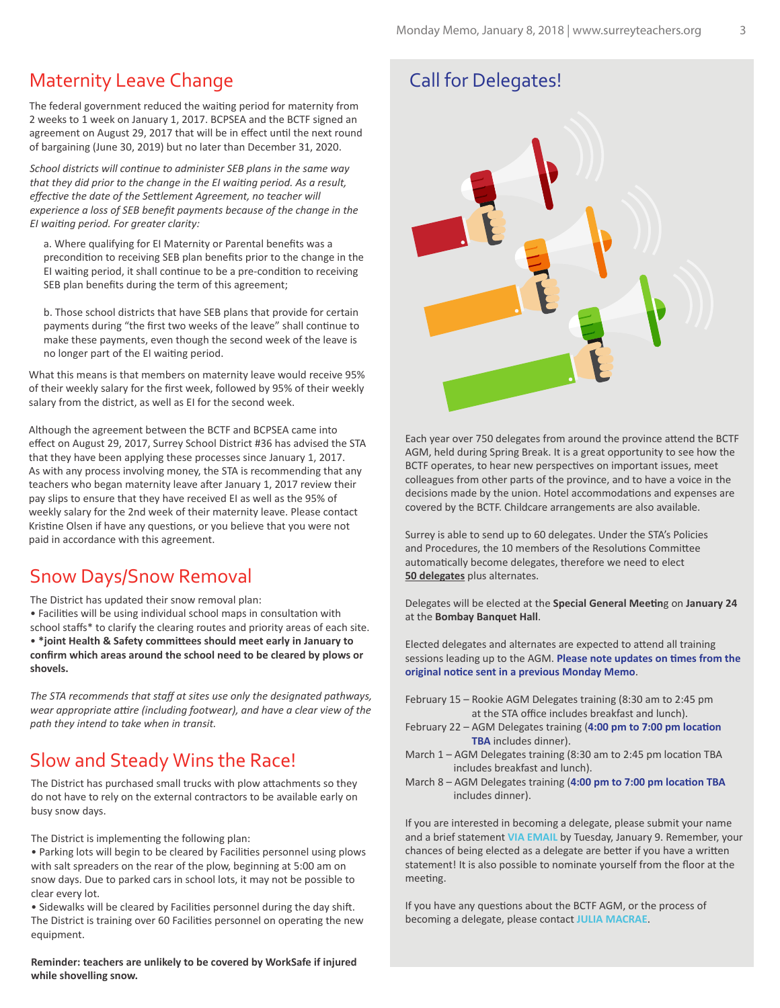### Maternity Leave Change

The federal government reduced the waiting period for maternity from 2 weeks to 1 week on January 1, 2017. BCPSEA and the BCTF signed an agreement on August 29, 2017 that will be in effect until the next round of bargaining (June 30, 2019) but no later than December 31, 2020.

*School districts will continue to administer SEB plans in the same way that they did prior to the change in the EI waiting period. As a result, effective the date of the Settlement Agreement, no teacher will experience a loss of SEB benefit payments because of the change in the EI waiting period. For greater clarity:*

a. Where qualifying for EI Maternity or Parental benefits was a precondition to receiving SEB plan benefits prior to the change in the EI waiting period, it shall continue to be a pre-condition to receiving SEB plan benefits during the term of this agreement;

b. Those school districts that have SEB plans that provide for certain payments during "the first two weeks of the leave" shall continue to make these payments, even though the second week of the leave is no longer part of the EI waiting period.

What this means is that members on maternity leave would receive 95% of their weekly salary for the first week, followed by 95% of their weekly salary from the district, as well as EI for the second week.

Although the agreement between the BCTF and BCPSEA came into effect on August 29, 2017, Surrey School District #36 has advised the STA that they have been applying these processes since January 1, 2017. As with any process involving money, the STA is recommending that any teachers who began maternity leave after January 1, 2017 review their pay slips to ensure that they have received EI as well as the 95% of weekly salary for the 2nd week of their maternity leave. Please contact Kristine Olsen if have any questions, or you believe that you were not paid in accordance with this agreement.

### Snow Days/Snow Removal

The District has updated their snow removal plan:

• Facilities will be using individual school maps in consultation with school staffs\* to clarify the clearing routes and priority areas of each site. • **\*joint Health & Safety commi�ees should meet early in January to confirm which areas around the school need to be cleared by plows or shovels.**

*The STA recommends that staff at sites use only the designated pathways, wear appropriate attire (including footwear), and have a clear view of the path they intend to take when in transit.*

### Slow and Steady Wins the Race!

The District has purchased small trucks with plow attachments so they do not have to rely on the external contractors to be available early on busy snow days.

The District is implementing the following plan:

• Parking lots will begin to be cleared by Facilities personnel using plows with salt spreaders on the rear of the plow, beginning at 5:00 am on snow days. Due to parked cars in school lots, it may not be possible to clear every lot.

• Sidewalks will be cleared by Facilities personnel during the day shift. The District is training over 60 Facilities personnel on operating the new equipment.

**Reminder: teachers are unlikely to be covered by WorkSafe if injured while shovelling snow.**

### Call for Delegates!



Each year over 750 delegates from around the province attend the BCTF AGM, held during Spring Break. It is a great opportunity to see how the BCTF operates, to hear new perspectives on important issues, meet colleagues from other parts of the province, and to have a voice in the decisions made by the union. Hotel accommodations and expenses are covered by the BCTF. Childcare arrangements are also available.

Surrey is able to send up to 60 delegates. Under the STA's Policies and Procedures, the 10 members of the Resolutions Committee automatically become delegates, therefore we need to elect **50 delegates** plus alternates.

Delegates will be elected at the **Special General Mee�n**g on **January 24** at the **Bombay Banquet Hall**.

Elected delegates and alternates are expected to attend all training sessions leading up to the AGM. Please note updates on times from the **original no�ce sent in a previous Monday Memo**.

- February 15 Rookie AGM Delegates training (8:30 am to 2:45 pm at the STA office includes breakfast and lunch).
- February 22 AGM Delegates training (4:00 pm to 7:00 pm location  **TBA** includes dinner).
- March  $1 -$  AGM Delegates training (8:30 am to 2:45 pm location TBA includes breakfast and lunch).
- March 8 AGM Delegates training (4:00 pm to 7:00 pm location TBA includes dinner).

If you are interested in becoming a delegate, please submit your name and a brief statement **[VIA EMAIL](mailto:sta@surreyteachers.org)** by Tuesday, January 9. Remember, your chances of being elected as a delegate are better if you have a written statement! It is also possible to nominate yourself from the floor at the meeting.

If you have any questions about the BCTF AGM, or the process of becoming a delegate, please contact **[JULIA MACRAE](mailto:2-vp@surreyteachers.org)**.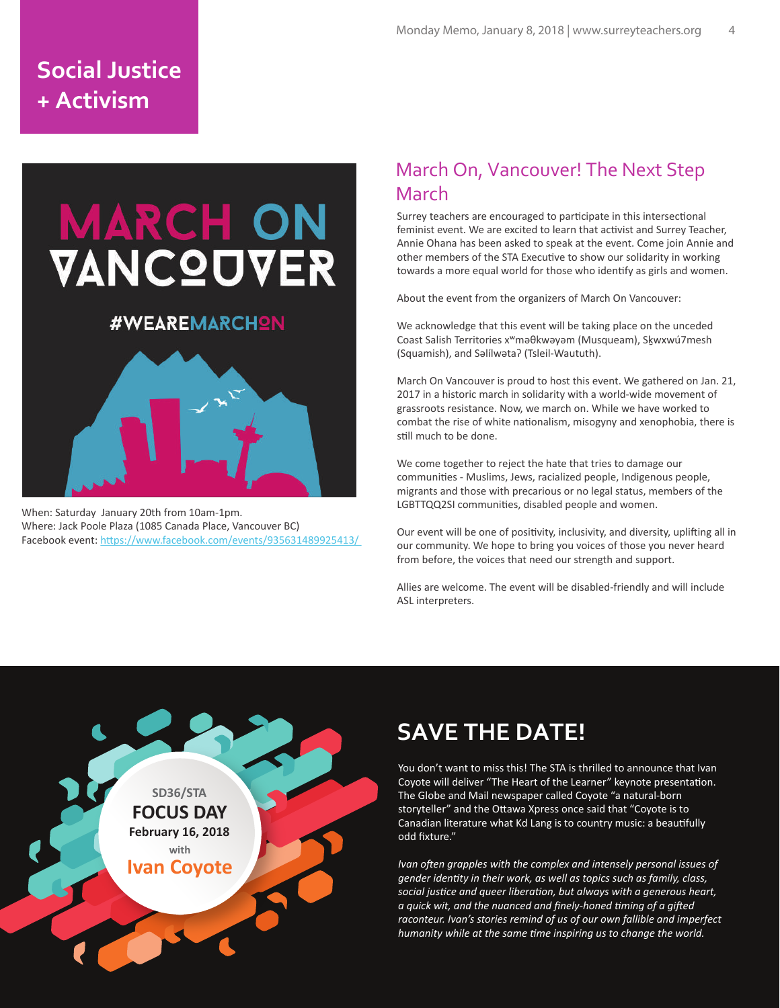# **Social Justice + Activism**

# **MARCH ON<br>VANCQUVER**

### #WEAREMARCHON



When: Saturday January 20th from 10am-1pm. Where: Jack Poole Plaza (1085 Canada Place, Vancouver BC) Facebook event: https://www.facebook.com/events/935631489925413/

## March On, Vancouver! The Next Step March

Surrey teachers are encouraged to participate in this intersectional feminist event. We are excited to learn that activist and Surrey Teacher, Annie Ohana has been asked to speak at the event. Come join Annie and other members of the STA Executive to show our solidarity in working towards a more equal world for those who identify as girls and women.

About the event from the organizers of March On Vancouver:

We acknowledge that this event will be taking place on the unceded Coast Salish Territories xʷməθkwəyəm (Musqueam), Sḵwxwú7mesh (Squamish), and Səlílwətaʔ (Tsleil-Waututh).

March On Vancouver is proud to host this event. We gathered on Jan. 21, 2017 in a historic march in solidarity with a world-wide movement of grassroots resistance. Now, we march on. While we have worked to combat the rise of white nationalism, misogyny and xenophobia, there is still much to be done.

We come together to reject the hate that tries to damage our communi�es - Muslims, Jews, racialized people, Indigenous people, migrants and those with precarious or no legal status, members of the LGBTTQQ2SI communities, disabled people and women.

Our event will be one of positivity, inclusivity, and diversity, uplifting all in our community. We hope to bring you voices of those you never heard from before, the voices that need our strength and support.

Allies are welcome. The event will be disabled-friendly and will include ASL interpreters.



# **SAVE THE DATE!**

You don't want to miss this! The STA is thrilled to announce that Ivan Coyote will deliver "The Heart of the Learner" keynote presentation. The Globe and Mail newspaper called Coyote "a natural-born storyteller" and the Ottawa Xpress once said that "Coyote is to Canadian literature what Kd Lang is to country music: a beau�fully odd fixture."

*Ivan often grapples with the complex and intensely personal issues of gender identity in their work, as well as topics such as family, class, social justice and queer liberation, but always with a generous heart, a quick wit, and the nuanced and finely-honed timing of a gifted raconteur. Ivan's stories remind of us of our own fallible and imperfect humanity while at the same time inspiring us to change the world.*